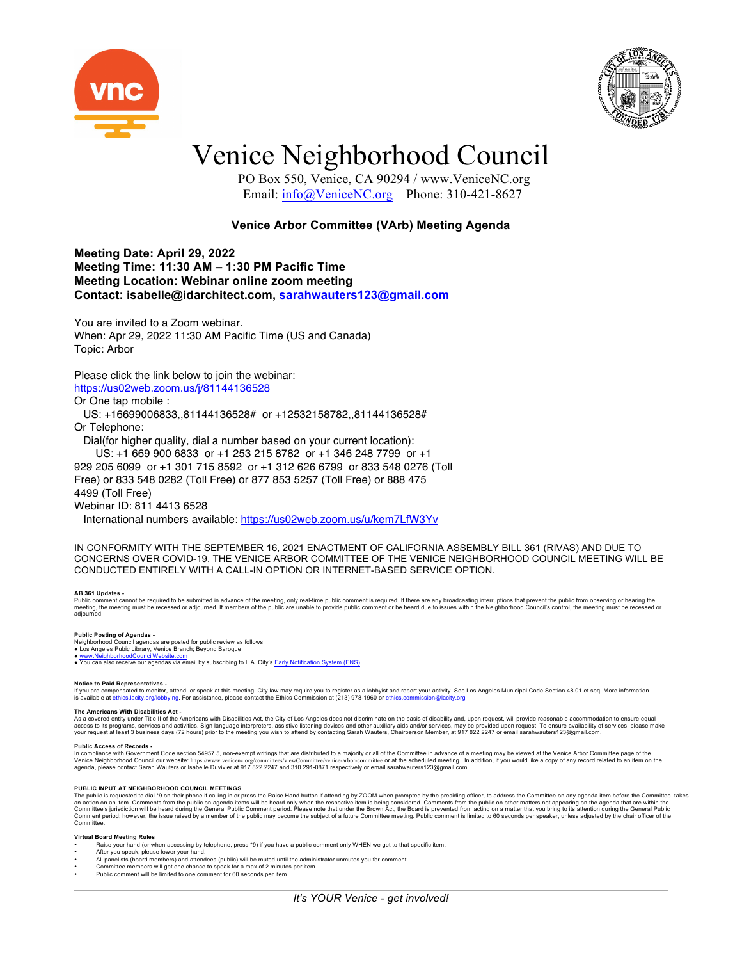



# Venice Neighborhood Council

 PO Box 550, Venice, CA 90294 / www.VeniceNC.org Email: info@VeniceNC.org Phone: 310-421-8627

## **Venice Arbor Committee (VArb) Meeting Agenda**

**Meeting Date: April 29, 2022 Meeting Time: 11:30 AM – 1:30 PM Pacific Time Meeting Location: Webinar online zoom meeting Contact: isabelle@idarchitect.com, sarahwauters123@gmail.com**

You are invited to a Zoom webinar. When: Apr 29, 2022 11:30 AM Pacific Time (US and Canada) Topic: Arbor

### Please click the link below to join the webinar: https://us02web.zoom.us/j/81144136528

Or One tap mobile :

 US: +16699006833,,81144136528# or +12532158782,,81144136528# Or Telephone:

Dial(for higher quality, dial a number based on your current location):

US: +1 669 900 6833 or +1 253 215 8782 or +1 346 248 7799 or +1

929 205 6099 or +1 301 715 8592 or +1 312 626 6799 or 833 548 0276 (Toll

Free) or 833 548 0282 (Toll Free) or 877 853 5257 (Toll Free) or 888 475 4499 (Toll Free)

Webinar ID: 811 4413 6528

International numbers available: https://us02web.zoom.us/u/kem7LfW3Yv

IN CONFORMITY WITH THE SEPTEMBER 16, 2021 ENACTMENT OF CALIFORNIA ASSEMBLY BILL 361 (RIVAS) AND DUE TO CONCERNS OVER COVID-19, THE VENICE ARBOR COMMITTEE OF THE VENICE NEIGHBORHOOD COUNCIL MEETING WILL BE CONDUCTED ENTIRELY WITH A CALL-IN OPTION OR INTERNET-BASED SERVICE OPTION.

#### **AB 361 Updates -**

Public comment cannot be required to be submitted in advance of the meeting, only real-time public comment is required. If there are any broadcasting interruptions that prevent the public from observing or hearing the<br>meet

#### **Public Posting of Agendas -**

Neighborhood Council agendas are posted for public review as follows: ● Los Angeles Pubic Library, Venice Branch; Beyond Baroque

● www.NeighborhoodCouncilWebsite.com<br>● You can also receive our agendas via email by subscribing to L.A. City's Early Notification System (ENS)

#### **Notice to Paid Representatives -**

If you are compensated to monitor, attend, or speak at this meeting. City law may require you to register as a lobbyist and report your activity. See Los Angeles Municipal Code Section 48.01 et seq. More information<br>is ava

#### **The Americans With Disabilities Act -**

As a covered entity under Title II of the Americans with Disabilities Act, the City of Los Angeles does not discriminate on the basis of disability and, upon request, will provide reasonable accommodation to ensure equal<br>a

### **Public Access of Records -**

In compliance with Government Code section 54957.5, non-exempt writings that are distributed to a majority or all of the Committee in advance of a meeting may be viewed at the Venice Arbor Committee page of the Unice Arbor Venice Neighborhood Council our website: https://www.venicenc.org/committes/viewCommittee'v/enice-arbor-committee or at the scheduled meeting. In addition, if you would like a copy of any record related to an item on the<br>

PUBLIC INPUT AT NEIGHBORHOOD COUNCIL MEETINGS<br>The public is requested to dial \*9 on their phone if calling in or press the Raise Hand button if attending by ZOOM when prompted by the presiding officer, to address the Commi Committee.

#### **Virtual Board Meeting Rules**

- Raise your hand (or when accessing by telephone, press \*9) if you have a public comment only WHEN we get to that specific item.
- After you speak, please lower your hand.
- All panelists (board members) and attendees (public) will be muted until the administrator unmutes you for comment.<br>• Committee members will get one chance to speak for a max of 2 minutes per item.<br>• Public comment will
-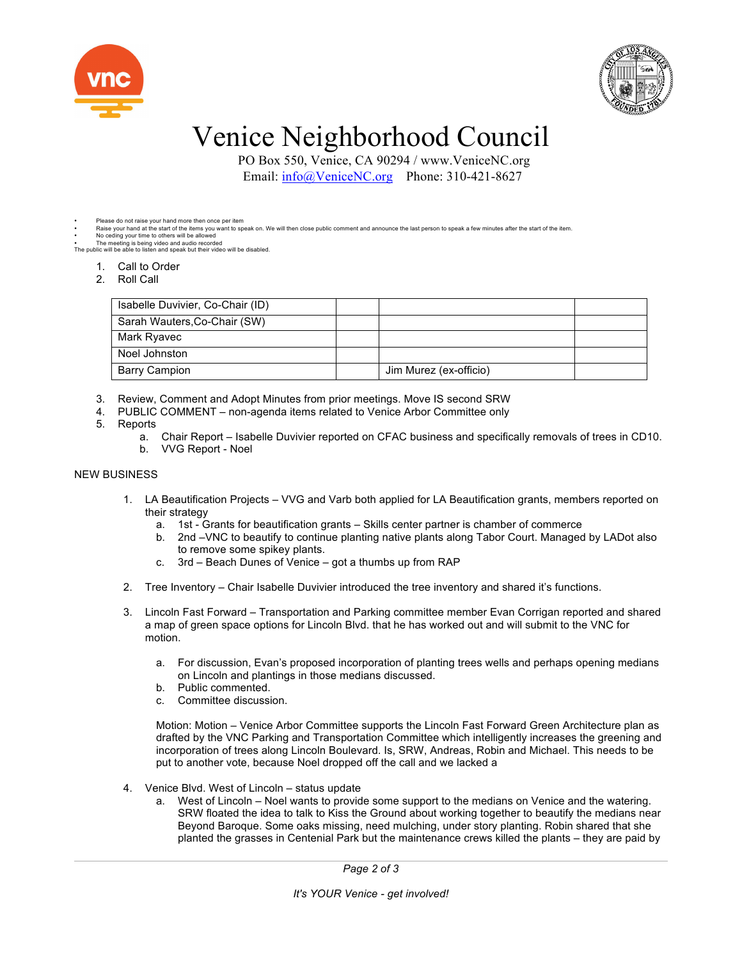



# Venice Neighborhood Council

 PO Box 550, Venice, CA 90294 / www.VeniceNC.org Email: info@VeniceNC.org Phone: 310-421-8627

### Please do not raise your hand more then once per item

Raise your hand at the start of the items you want to speak on. We will then close public comment and announce the last person to speak a few minutes after the start of the item.

• No ceding your time to others will be allowed • The meeting is being video and audio recorded The public will be able to listen and speak but their video will be disabled.

- 1. Call to Order
- 2. Roll Call
- 

| Isabelle Duvivier, Co-Chair (ID) |                        |  |
|----------------------------------|------------------------|--|
| Sarah Wauters, Co-Chair (SW)     |                        |  |
| Mark Ryavec                      |                        |  |
| Noel Johnston                    |                        |  |
| <b>Barry Campion</b>             | Jim Murez (ex-officio) |  |

- 3. Review, Comment and Adopt Minutes from prior meetings. Move IS second SRW
- 4. PUBLIC COMMENT non-agenda items related to Venice Arbor Committee only
- 5. Reports
	- a. Chair Report Isabelle Duvivier reported on CFAC business and specifically removals of trees in CD10. b. VVG Report - Noel

## NEW BUSINESS

- 1. LA Beautification Projects VVG and Varb both applied for LA Beautification grants, members reported on their strategy
	- a. 1st Grants for beautification grants Skills center partner is chamber of commerce
	- b. 2nd –VNC to beautify to continue planting native plants along Tabor Court. Managed by LADot also to remove some spikey plants.
	- c. 3rd Beach Dunes of Venice got a thumbs up from RAP
- 2. Tree Inventory Chair Isabelle Duvivier introduced the tree inventory and shared it's functions.
- 3. Lincoln Fast Forward Transportation and Parking committee member Evan Corrigan reported and shared a map of green space options for Lincoln Blvd. that he has worked out and will submit to the VNC for motion.
	- a. For discussion, Evan's proposed incorporation of planting trees wells and perhaps opening medians on Lincoln and plantings in those medians discussed.
	- b. Public commented.
	- c. Committee discussion.

Motion: Motion – Venice Arbor Committee supports the Lincoln Fast Forward Green Architecture plan as drafted by the VNC Parking and Transportation Committee which intelligently increases the greening and incorporation of trees along Lincoln Boulevard. Is, SRW, Andreas, Robin and Michael. This needs to be put to another vote, because Noel dropped off the call and we lacked a

- 4. Venice Blvd. West of Lincoln status update
	- a. West of Lincoln Noel wants to provide some support to the medians on Venice and the watering. SRW floated the idea to talk to Kiss the Ground about working together to beautify the medians near Beyond Baroque. Some oaks missing, need mulching, under story planting. Robin shared that she planted the grasses in Centenial Park but the maintenance crews killed the plants – they are paid by